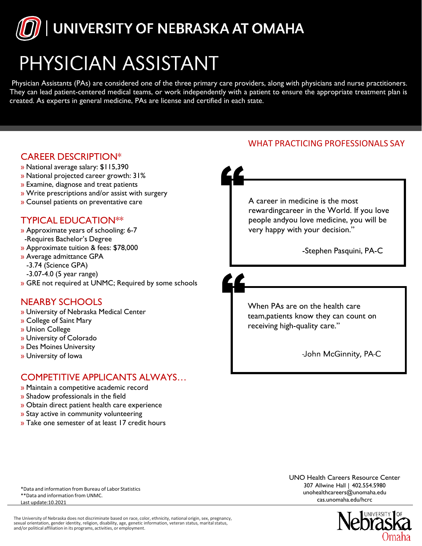

# PHYSICIAN ASSISTANT

Physician Assistants (PAs) are considered one of the three primary care providers, along with physicians and nurse practitioners. They can lead patient-centered medical teams, or work independently with a patient to ensure the appropriate treatment plan is created. As experts in general medicine, PAs are license and certified in each state.

### WHAT PRACTICING PROFESSIONALS SAY CAREER DESCRIPTION\* » National average salary: \$115,390 » National projected career growth: 31% » Examine, diagnose and treat patients » Write prescriptions and/or assist with surgery A career in medicine is the most » Counsel patients on preventative care rewardingcareer in the World. If you love people andyou love medicine, you will be TYPICAL EDUCATION\*\* very happy with your decision." » Approximate years of schooling: 6-7 -Requires Bachelor's Degree » Approximate tuition & fees: \$78,000 -Stephen Pasquini, PA-C» Average admittance GPA -3.74 (Science GPA) -3.07-4.0 (5 year range) » GRE not required at UNMC; Required by some schools NEARBY SCHOOLS When PAs are on the health care » University of Nebraska Medical Center team,patients know they can count on » College of Saint Mary receiving high-quality care." » Union College » University of Colorado » Des Moines University -John McGinnity, PA-C » University of Iowa COMPETITIVE APPLICANTS ALWAYS… » Maintain a competitive academic record » Shadow professionals in the field » Obtain direct patient health care experience » Stay active in community volunteering » Take one semester of at least 17 credit hours UNO Health Careers Resource Center 307 Allwine Hall | 402.554.5980 \*Data and information from Bureau of Labor Statistics [u](mailto:unohealthcareers@unomaha.edu)[nohealthcareers@unomaha.edu](mailto:nohealthcareers@unomaha.edu) \*\*Data and information from UNMC. cas.unomaha.edu/hcrc Last update:10.2021

The University of Nebraska does not discriminate based on race, color, ethnicity, national origin,sex, pregnancy, sexual orientation, gender identity, religion, disability, age, genetic information, veteran status, marital status,<br>and/or political affiliation in its programs, activities, or employment.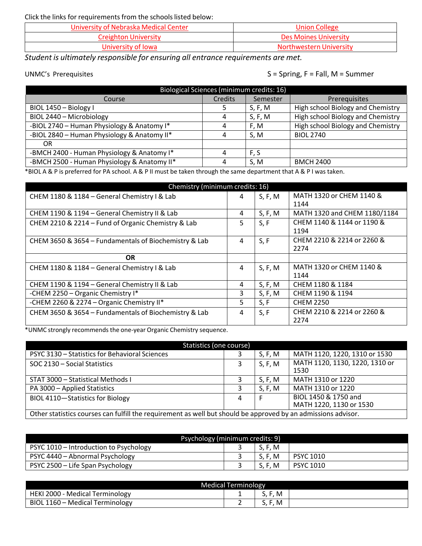Click the links for requirements from the schools listed below:

| University of Nebraska Medical Center | <b>Union College</b>    |
|---------------------------------------|-------------------------|
| Creighton University                  | Des Moines University   |
| University of Iowa                    | Northwestern University |

*Student is ultimately responsible for ensuring all entrance requirements are met.*

UNMC's Prerequisites Services Services Services Services Services Services Services Services Services Services

| Biological Sciences (minimum credits: 16)   |         |          |                                   |  |  |
|---------------------------------------------|---------|----------|-----------------------------------|--|--|
| Course                                      | Credits | Semester | Prerequisites                     |  |  |
| BIOL 1450 - Biology I                       |         | S, F, M  | High school Biology and Chemistry |  |  |
| BIOL 2440 - Microbiology                    | 4       | S, F, M  | High school Biology and Chemistry |  |  |
| -BIOL 2740 - Human Physiology & Anatomy I*  | 4       | F.M      | High school Biology and Chemistry |  |  |
| -BIOL 2840 - Human Physiology & Anatomy II* | 4       | S.M      | <b>BIOL 2740</b>                  |  |  |
| 0R                                          |         |          |                                   |  |  |
| -BMCH 2400 - Human Physiology & Anatomy I*  | 4       | F, S     |                                   |  |  |
| -BMCH 2500 - Human Physiology & Anatomy II* | 4       | S.M      | <b>BMCH 2400</b>                  |  |  |

\*BIOL A & P is preferred for PA school. A & P II must be taken through the same department that A & P I was taken.

| Chemistry (minimum credits: 16)                       |    |         |                              |  |  |
|-------------------------------------------------------|----|---------|------------------------------|--|--|
| CHEM 1180 & 1184 - General Chemistry I & Lab          | 4  | S, F, M | MATH 1320 or CHEM 1140 &     |  |  |
|                                                       |    |         | 1144                         |  |  |
| CHEM 1190 & 1194 - General Chemistry II & Lab         | 4  | S, F, M | MATH 1320 and CHEM 1180/1184 |  |  |
| CHEM 2210 & 2214 - Fund of Organic Chemistry & Lab    | 5  | S, F    | CHEM 1140 & 1144 or 1190 &   |  |  |
|                                                       |    |         | 1194                         |  |  |
| CHEM 3650 & 3654 - Fundamentals of Biochemistry & Lab | 4  | S, F    | CHEM 2210 & 2214 or 2260 &   |  |  |
|                                                       |    |         | 2274                         |  |  |
| <b>OR</b>                                             |    |         |                              |  |  |
| CHEM 1180 & 1184 - General Chemistry I & Lab          | 4  | S, F, M | MATH 1320 or CHEM 1140 &     |  |  |
|                                                       |    |         | 1144                         |  |  |
| CHEM 1190 & 1194 - General Chemistry II & Lab         | 4  | S, F, M | CHEM 1180 & 1184             |  |  |
| -CHEM 2250 - Organic Chemistry I*                     | 3  | S, F, M | CHEM 1190 & 1194             |  |  |
| -CHEM 2260 & 2274 - Organic Chemistry II*             | 5. | S, F    | <b>CHEM 2250</b>             |  |  |
| CHEM 3650 & 3654 - Fundamentals of Biochemistry & Lab | 4  | S, F    | CHEM 2210 & 2214 or 2260 &   |  |  |
|                                                       |    |         | 2274                         |  |  |

\*UNMC strongly recommends the one-year Organic Chemistry sequence.

| Statistics (one course)                                                                                       |   |         |                                                 |  |  |
|---------------------------------------------------------------------------------------------------------------|---|---------|-------------------------------------------------|--|--|
| PSYC 3130 - Statistics for Behavioral Sciences                                                                |   | S, F, M | MATH 1120, 1220, 1310 or 1530                   |  |  |
| SOC 2130 - Social Statistics                                                                                  |   | S, F, M | MATH 1120, 1130, 1220, 1310 or<br>1530          |  |  |
| STAT 3000 - Statistical Methods I                                                                             |   | S, F, M | MATH 1310 or 1220                               |  |  |
| PA 3000 - Applied Statistics                                                                                  |   | S, F, M | MATH 1310 or 1220                               |  |  |
| BIOL 4110-Statistics for Biology                                                                              | 4 | F       | BIOL 1450 & 1750 and<br>MATH 1220, 1130 or 1530 |  |  |
| Other statistics courses can fulfill the requirement as well but should be approved by an admissions advisor. |   |         |                                                 |  |  |

| Psychology (minimum credits: 9)        |  |         |                  |  |
|----------------------------------------|--|---------|------------------|--|
| PSYC 1010 - Introduction to Psychology |  | S. F. M |                  |  |
| PSYC 4440 - Abnormal Psychology        |  | S, F, M | <b>PSYC 1010</b> |  |
| PSYC 2500 - Life Span Psychology       |  | S, F, M | <b>PSYC 1010</b> |  |

| Medical Terminology             |  |                   |  |  |
|---------------------------------|--|-------------------|--|--|
| HEKI 2000 - Medical Terminology |  | $\cdot$ . M<br>J. |  |  |
| BIOL 1160 - Medical Terminology |  | ∙, M<br>J.        |  |  |